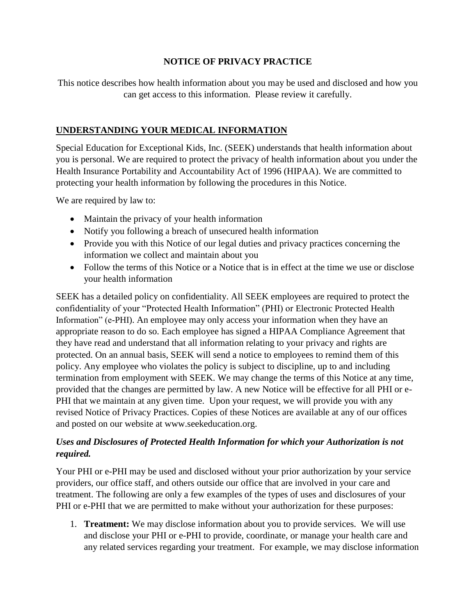## **NOTICE OF PRIVACY PRACTICE**

This notice describes how health information about you may be used and disclosed and how you can get access to this information. Please review it carefully.

## **UNDERSTANDING YOUR MEDICAL INFORMATION**

Special Education for Exceptional Kids, Inc. (SEEK) understands that health information about you is personal. We are required to protect the privacy of health information about you under the Health Insurance Portability and Accountability Act of 1996 (HIPAA). We are committed to protecting your health information by following the procedures in this Notice.

We are required by law to:

- Maintain the privacy of your health information
- Notify you following a breach of unsecured health information
- Provide you with this Notice of our legal duties and privacy practices concerning the information we collect and maintain about you
- Follow the terms of this Notice or a Notice that is in effect at the time we use or disclose your health information

SEEK has a detailed policy on confidentiality. All SEEK employees are required to protect the confidentiality of your "Protected Health Information" (PHI) or Electronic Protected Health Information" (e-PHI). An employee may only access your information when they have an appropriate reason to do so. Each employee has signed a HIPAA Compliance Agreement that they have read and understand that all information relating to your privacy and rights are protected. On an annual basis, SEEK will send a notice to employees to remind them of this policy. Any employee who violates the policy is subject to discipline, up to and including termination from employment with SEEK. We may change the terms of this Notice at any time, provided that the changes are permitted by law. A new Notice will be effective for all PHI or e-PHI that we maintain at any given time. Upon your request, we will provide you with any revised Notice of Privacy Practices. Copies of these Notices are available at any of our offices and posted on our website at www.seekeducation.org.

## *Uses and Disclosures of Protected Health Information for which your Authorization is not required.*

Your PHI or e-PHI may be used and disclosed without your prior authorization by your service providers, our office staff, and others outside our office that are involved in your care and treatment. The following are only a few examples of the types of uses and disclosures of your PHI or e-PHI that we are permitted to make without your authorization for these purposes:

1. **Treatment:** We may disclose information about you to provide services. We will use and disclose your PHI or e-PHI to provide, coordinate, or manage your health care and any related services regarding your treatment. For example, we may disclose information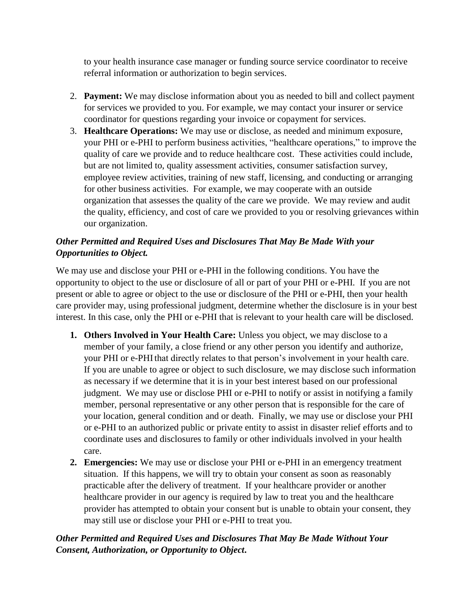to your health insurance case manager or funding source service coordinator to receive referral information or authorization to begin services.

- 2. **Payment:** We may disclose information about you as needed to bill and collect payment for services we provided to you. For example, we may contact your insurer or service coordinator for questions regarding your invoice or copayment for services.
- 3. **Healthcare Operations:** We may use or disclose, as needed and minimum exposure, your PHI or e-PHI to perform business activities, "healthcare operations," to improve the quality of care we provide and to reduce healthcare cost. These activities could include, but are not limited to, quality assessment activities, consumer satisfaction survey, employee review activities, training of new staff, licensing, and conducting or arranging for other business activities. For example, we may cooperate with an outside organization that assesses the quality of the care we provide. We may review and audit the quality, efficiency, and cost of care we provided to you or resolving grievances within our organization.

# *Other Permitted and Required Uses and Disclosures That May Be Made With your Opportunities to Object.*

We may use and disclose your PHI or e-PHI in the following conditions. You have the opportunity to object to the use or disclosure of all or part of your PHI or e-PHI. If you are not present or able to agree or object to the use or disclosure of the PHI or e-PHI, then your health care provider may, using professional judgment, determine whether the disclosure is in your best interest. In this case, only the PHI or e-PHI that is relevant to your health care will be disclosed.

- **1. Others Involved in Your Health Care:** Unless you object, we may disclose to a member of your family, a close friend or any other person you identify and authorize, your PHI or e-PHI that directly relates to that person's involvement in your health care. If you are unable to agree or object to such disclosure, we may disclose such information as necessary if we determine that it is in your best interest based on our professional judgment. We may use or disclose PHI or e-PHI to notify or assist in notifying a family member, personal representative or any other person that is responsible for the care of your location, general condition and or death. Finally, we may use or disclose your PHI or e-PHI to an authorized public or private entity to assist in disaster relief efforts and to coordinate uses and disclosures to family or other individuals involved in your health care.
- **2. Emergencies:** We may use or disclose your PHI or e-PHI in an emergency treatment situation. If this happens, we will try to obtain your consent as soon as reasonably practicable after the delivery of treatment. If your healthcare provider or another healthcare provider in our agency is required by law to treat you and the healthcare provider has attempted to obtain your consent but is unable to obtain your consent, they may still use or disclose your PHI or e-PHI to treat you.

# *Other Permitted and Required Uses and Disclosures That May Be Made Without Your Consent, Authorization, or Opportunity to Object***.**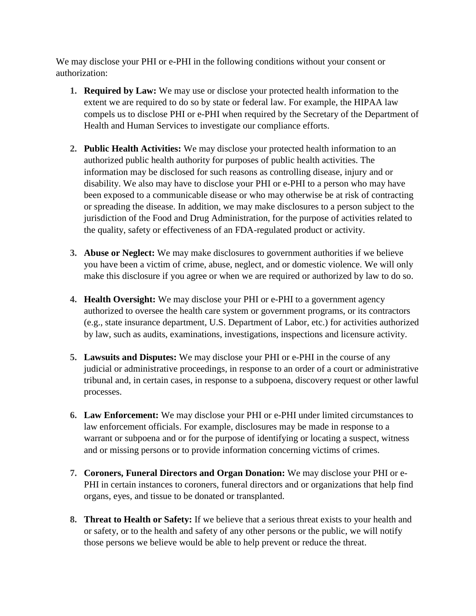We may disclose your PHI or e-PHI in the following conditions without your consent or authorization:

- **1. Required by Law:** We may use or disclose your protected health information to the extent we are required to do so by state or federal law. For example, the HIPAA law compels us to disclose PHI or e-PHI when required by the Secretary of the Department of Health and Human Services to investigate our compliance efforts.
- **2. Public Health Activities:** We may disclose your protected health information to an authorized public health authority for purposes of public health activities. The information may be disclosed for such reasons as controlling disease, injury and or disability. We also may have to disclose your PHI or e-PHI to a person who may have been exposed to a communicable disease or who may otherwise be at risk of contracting or spreading the disease. In addition, we may make disclosures to a person subject to the jurisdiction of the Food and Drug Administration, for the purpose of activities related to the quality, safety or effectiveness of an FDA-regulated product or activity.
- **3. Abuse or Neglect:** We may make disclosures to government authorities if we believe you have been a victim of crime, abuse, neglect, and or domestic violence. We will only make this disclosure if you agree or when we are required or authorized by law to do so.
- **4. Health Oversight:** We may disclose your PHI or e-PHI to a government agency authorized to oversee the health care system or government programs, or its contractors (e.g., state insurance department, U.S. Department of Labor, etc.) for activities authorized by law, such as audits, examinations, investigations, inspections and licensure activity.
- **5. Lawsuits and Disputes:** We may disclose your PHI or e-PHI in the course of any judicial or administrative proceedings, in response to an order of a court or administrative tribunal and, in certain cases, in response to a subpoena, discovery request or other lawful processes.
- **6. Law Enforcement:** We may disclose your PHI or e-PHI under limited circumstances to law enforcement officials. For example, disclosures may be made in response to a warrant or subpoena and or for the purpose of identifying or locating a suspect, witness and or missing persons or to provide information concerning victims of crimes.
- **7. Coroners, Funeral Directors and Organ Donation:** We may disclose your PHI or e-PHI in certain instances to coroners, funeral directors and or organizations that help find organs, eyes, and tissue to be donated or transplanted.
- **8. Threat to Health or Safety:** If we believe that a serious threat exists to your health and or safety, or to the health and safety of any other persons or the public, we will notify those persons we believe would be able to help prevent or reduce the threat.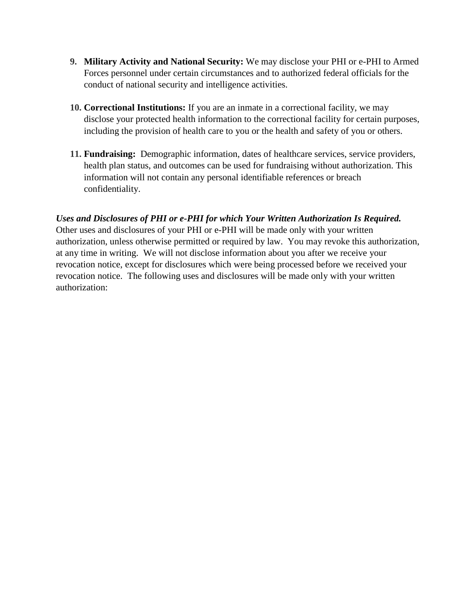- **9. Military Activity and National Security:** We may disclose your PHI or e-PHI to Armed Forces personnel under certain circumstances and to authorized federal officials for the conduct of national security and intelligence activities.
- **10. Correctional Institutions:** If you are an inmate in a correctional facility, we may disclose your protected health information to the correctional facility for certain purposes, including the provision of health care to you or the health and safety of you or others.
- **11. Fundraising:** Demographic information, dates of healthcare services, service providers, health plan status, and outcomes can be used for fundraising without authorization. This information will not contain any personal identifiable references or breach confidentiality.

*Uses and Disclosures of PHI or e-PHI for which Your Written Authorization Is Required.*  Other uses and disclosures of your PHI or e-PHI will be made only with your written authorization, unless otherwise permitted or required by law. You may revoke this authorization, at any time in writing. We will not disclose information about you after we receive your revocation notice, except for disclosures which were being processed before we received your revocation notice. The following uses and disclosures will be made only with your written authorization: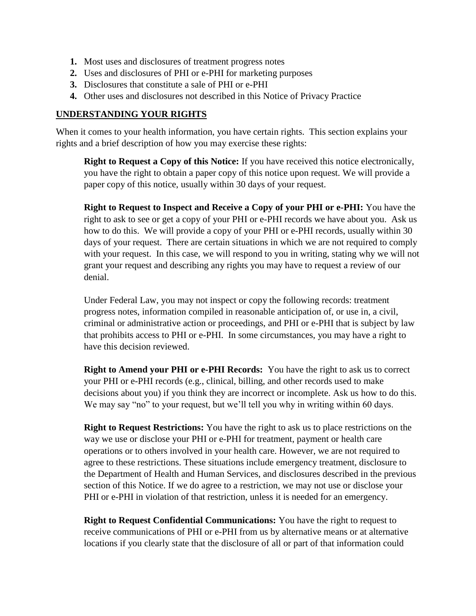- **1.** Most uses and disclosures of treatment progress notes
- **2.** Uses and disclosures of PHI or e-PHI for marketing purposes
- **3.** Disclosures that constitute a sale of PHI or e-PHI
- **4.** Other uses and disclosures not described in this Notice of Privacy Practice

#### **UNDERSTANDING YOUR RIGHTS**

When it comes to your health information, you have certain rights. This section explains your rights and a brief description of how you may exercise these rights:

**Right to Request a Copy of this Notice:** If you have received this notice electronically, you have the right to obtain a paper copy of this notice upon request. We will provide a paper copy of this notice, usually within 30 days of your request.

**Right to Request to Inspect and Receive a Copy of your PHI or e-PHI:** You have the right to ask to see or get a copy of your PHI or e-PHI records we have about you. Ask us how to do this. We will provide a copy of your PHI or e-PHI records, usually within 30 days of your request. There are certain situations in which we are not required to comply with your request. In this case, we will respond to you in writing, stating why we will not grant your request and describing any rights you may have to request a review of our denial.

Under Federal Law, you may not inspect or copy the following records: treatment progress notes, information compiled in reasonable anticipation of, or use in, a civil, criminal or administrative action or proceedings, and PHI or e-PHI that is subject by law that prohibits access to PHI or e-PHI. In some circumstances, you may have a right to have this decision reviewed.

**Right to Amend your PHI or e-PHI Records:** You have the right to ask us to correct your PHI or e-PHI records (e.g., clinical, billing, and other records used to make decisions about you) if you think they are incorrect or incomplete. Ask us how to do this. We may say "no" to your request, but we'll tell you why in writing within 60 days.

**Right to Request Restrictions:** You have the right to ask us to place restrictions on the way we use or disclose your PHI or e-PHI for treatment, payment or health care operations or to others involved in your health care. However, we are not required to agree to these restrictions. These situations include emergency treatment, disclosure to the Department of Health and Human Services, and disclosures described in the previous section of this Notice. If we do agree to a restriction, we may not use or disclose your PHI or e-PHI in violation of that restriction, unless it is needed for an emergency.

**Right to Request Confidential Communications:** You have the right to request to receive communications of PHI or e-PHI from us by alternative means or at alternative locations if you clearly state that the disclosure of all or part of that information could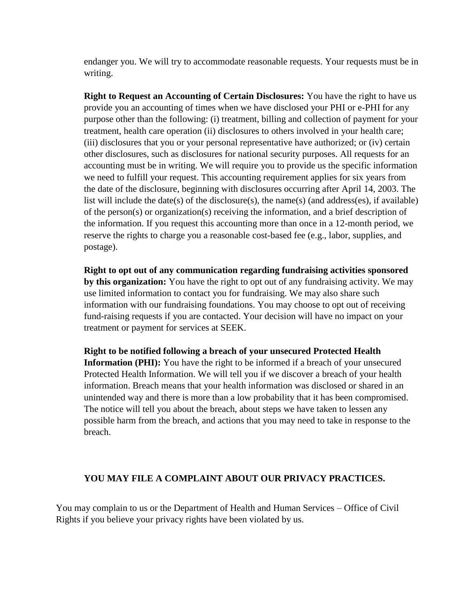endanger you. We will try to accommodate reasonable requests. Your requests must be in writing.

**Right to Request an Accounting of Certain Disclosures:** You have the right to have us provide you an accounting of times when we have disclosed your PHI or e-PHI for any purpose other than the following: (i) treatment, billing and collection of payment for your treatment, health care operation (ii) disclosures to others involved in your health care; (iii) disclosures that you or your personal representative have authorized; or (iv) certain other disclosures, such as disclosures for national security purposes. All requests for an accounting must be in writing. We will require you to provide us the specific information we need to fulfill your request. This accounting requirement applies for six years from the date of the disclosure, beginning with disclosures occurring after April 14, 2003. The list will include the date(s) of the disclosure(s), the name(s) (and address(es), if available) of the person(s) or organization(s) receiving the information, and a brief description of the information. If you request this accounting more than once in a 12-month period, we reserve the rights to charge you a reasonable cost-based fee (e.g., labor, supplies, and postage).

**Right to opt out of any communication regarding fundraising activities sponsored by this organization:** You have the right to opt out of any fundraising activity. We may use limited information to contact you for fundraising. We may also share such information with our fundraising foundations. You may choose to opt out of receiving fund-raising requests if you are contacted. Your decision will have no impact on your treatment or payment for services at SEEK.

**Right to be notified following a breach of your unsecured Protected Health Information (PHI):** You have the right to be informed if a breach of your unsecured Protected Health Information. We will tell you if we discover a breach of your health information. Breach means that your health information was disclosed or shared in an unintended way and there is more than a low probability that it has been compromised. The notice will tell you about the breach, about steps we have taken to lessen any possible harm from the breach, and actions that you may need to take in response to the breach.

#### **YOU MAY FILE A COMPLAINT ABOUT OUR PRIVACY PRACTICES.**

You may complain to us or the Department of Health and Human Services – Office of Civil Rights if you believe your privacy rights have been violated by us.